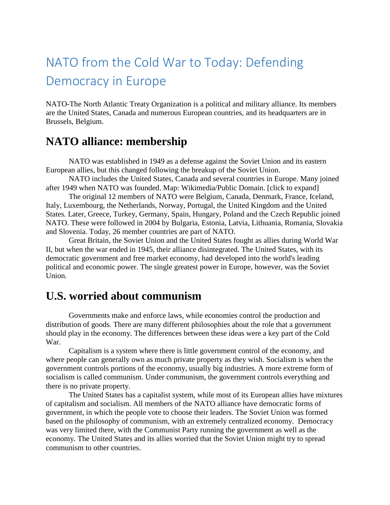# NATO from the Cold War to Today: Defending Democracy in Europe

NATO-The North Atlantic Treaty Organization is a political and military alliance. Its members are the United States, Canada and numerous European countries, and its headquarters are in Brussels, Belgium.

## **NATO alliance: membership**

NATO was established in 1949 as a defense against the Soviet Union and its eastern European allies, but this changed following the breakup of the Soviet Union.

NATO includes the United States, Canada and several countries in Europe. Many joined after 1949 when NATO was founded. Map: Wikimedia/Public Domain. [click to expand]

The original 12 members of NATO were Belgium, Canada, Denmark, France, Iceland, Italy, Luxembourg, the Netherlands, Norway, Portugal, the United Kingdom and the United States. Later, Greece, Turkey, Germany, Spain, Hungary, Poland and the Czech Republic joined NATO. These were followed in 2004 by Bulgaria, Estonia, Latvia, Lithuania, Romania, Slovakia and Slovenia. Today, 26 member countries are part of NATO.

Great Britain, the Soviet Union and the United States fought as allies during World War II, but when the war ended in 1945, their alliance disintegrated. The United States, with its democratic government and free market economy, had developed into the world's leading political and economic power. The single greatest power in Europe, however, was the Soviet Union.

#### **U.S. worried about communism**

Governments make and enforce laws, while economies control the production and distribution of goods. There are many different philosophies about the role that a government should play in the economy. The differences between these ideas were a key part of the Cold War.

Capitalism is a system where there is little government control of the economy, and where people can generally own as much private property as they wish. Socialism is when the government controls portions of the economy, usually big industries. A more extreme form of socialism is called communism. Under communism, the government controls everything and there is no private property.

The United States has a capitalist system, while most of its European allies have mixtures of capitalism and socialism. All members of the NATO alliance have democratic forms of government, in which the people vote to choose their leaders. The Soviet Union was formed based on the philosophy of communism, with an extremely centralized economy. Democracy was very limited there, with the Communist Party running the government as well as the economy. The United States and its allies worried that the Soviet Union might try to spread communism to other countries.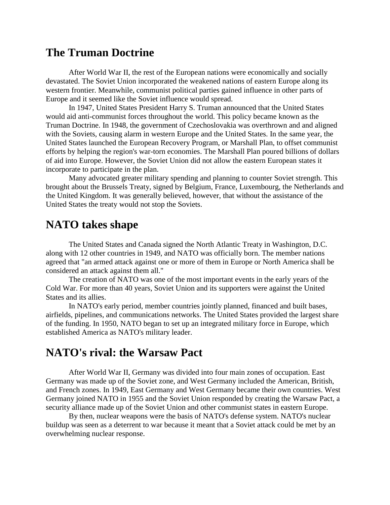#### **The Truman Doctrine**

After World War II, the rest of the European nations were economically and socially devastated. The Soviet Union incorporated the weakened nations of eastern Europe along its western frontier. Meanwhile, communist political parties gained influence in other parts of Europe and it seemed like the Soviet influence would spread.

In 1947, United States President Harry S. Truman announced that the United States would aid anti-communist forces throughout the world. This policy became known as the Truman Doctrine. In 1948, the government of Czechoslovakia was overthrown and and aligned with the Soviets, causing alarm in western Europe and the United States. In the same year, the United States launched the European Recovery Program, or Marshall Plan, to offset communist efforts by helping the region's war-torn economies. The Marshall Plan poured billions of dollars of aid into Europe. However, the Soviet Union did not allow the eastern European states it incorporate to participate in the plan.

Many advocated greater military spending and planning to counter Soviet strength. This brought about the Brussels Treaty, signed by Belgium, France, Luxembourg, the Netherlands and the United Kingdom. It was generally believed, however, that without the assistance of the United States the treaty would not stop the Soviets.

#### **NATO takes shape**

The United States and Canada signed the North Atlantic Treaty in Washington, D.C. along with 12 other countries in 1949, and NATO was officially born. The member nations agreed that "an armed attack against one or more of them in Europe or North America shall be considered an attack against them all."

The creation of NATO was one of the most important events in the early years of the Cold War. For more than 40 years, Soviet Union and its supporters were against the United States and its allies.

In NATO's early period, member countries jointly planned, financed and built bases, airfields, pipelines, and communications networks. The United States provided the largest share of the funding. In 1950, NATO began to set up an integrated military force in Europe, which established America as NATO's military leader.

### **NATO's rival: the Warsaw Pact**

After World War II, Germany was divided into four main zones of occupation. East Germany was made up of the Soviet zone, and West Germany included the American, British, and French zones. In 1949, East Germany and West Germany became their own countries. West Germany joined NATO in 1955 and the Soviet Union responded by creating the Warsaw Pact, a security alliance made up of the Soviet Union and other communist states in eastern Europe.

By then, nuclear weapons were the basis of NATO's defense system. NATO's nuclear buildup was seen as a deterrent to war because it meant that a Soviet attack could be met by an overwhelming nuclear response.